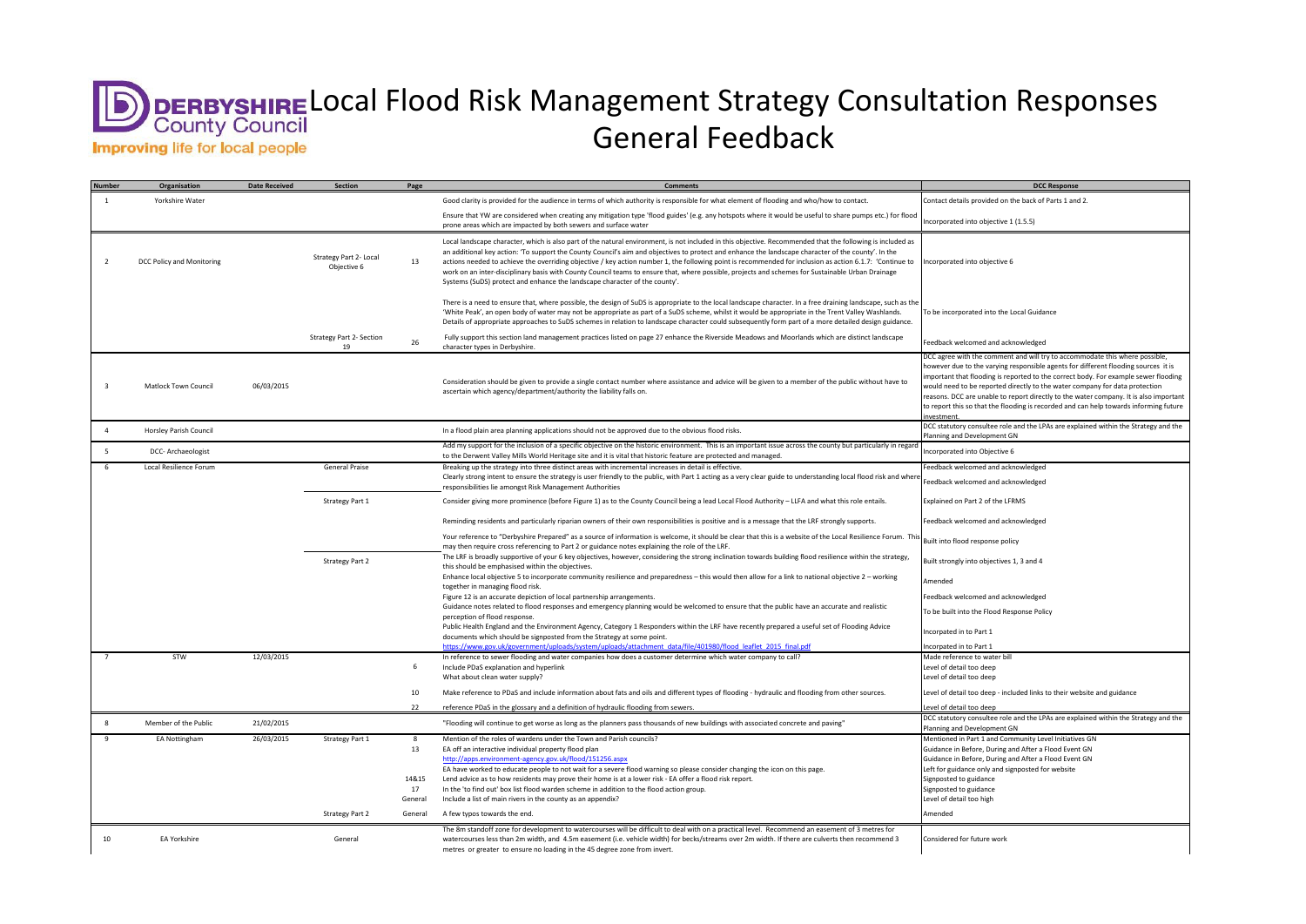## Local Flood Risk Management Strategy Consultation Responses General Feedback**Improving life for local people**

| <b>Number</b>  | Organisation                | <b>Date Received</b> | <b>Section</b>                        | Page    | <b>Comments</b>                                                                                                                                                                                                                                                                                                                                                                                                                                                                                                                                                                                                                                                                                                                                 | <b>DCC Response</b>                                                                                                                                                                                                                                                                                                                                                                                                                                                                                                                     |
|----------------|-----------------------------|----------------------|---------------------------------------|---------|-------------------------------------------------------------------------------------------------------------------------------------------------------------------------------------------------------------------------------------------------------------------------------------------------------------------------------------------------------------------------------------------------------------------------------------------------------------------------------------------------------------------------------------------------------------------------------------------------------------------------------------------------------------------------------------------------------------------------------------------------|-----------------------------------------------------------------------------------------------------------------------------------------------------------------------------------------------------------------------------------------------------------------------------------------------------------------------------------------------------------------------------------------------------------------------------------------------------------------------------------------------------------------------------------------|
|                | Yorkshire Water             |                      |                                       |         | Good clarity is provided for the audience in terms of which authority is responsible for what element of flooding and who/how to contact.                                                                                                                                                                                                                                                                                                                                                                                                                                                                                                                                                                                                       | Contact details provided on the back of Parts 1 and 2.                                                                                                                                                                                                                                                                                                                                                                                                                                                                                  |
|                |                             |                      |                                       |         | Ensure that YW are considered when creating any mitigation type 'flood guides' (e.g. any hotspots where it would be useful to share pumps etc.) for flood<br>prone areas which are impacted by both sewers and surface water                                                                                                                                                                                                                                                                                                                                                                                                                                                                                                                    | Incorporated into objective 1 (1.5.5)                                                                                                                                                                                                                                                                                                                                                                                                                                                                                                   |
| 2              | DCC Policy and Monitoring   |                      | Strategy Part 2- Local<br>Objective 6 | 13      | Local landscape character, which is also part of the natural environment, is not included in this objective. Recommended that the following is included as<br>an additional key action: 'To support the County Council's aim and objectives to protect and enhance the landscape character of the county'. In the<br>actions needed to achieve the overriding objective / key action number 1, the following point is recommended for inclusion as action 6.1.7: 'Continue to  Incorporated into objective 6<br>work on an inter-disciplinary basis with County Council teams to ensure that, where possible, projects and schemes for Sustainable Urban Drainage<br>Systems (SuDS) protect and enhance the landscape character of the county'. |                                                                                                                                                                                                                                                                                                                                                                                                                                                                                                                                         |
|                |                             |                      |                                       |         | There is a need to ensure that, where possible, the design of SuDS is appropriate to the local landscape character. In a free draining landscape, such as the<br>'White Peak', an open body of water may not be appropriate as part of a SuDS scheme, whilst it would be appropriate in the Trent Valley Washlands.<br>Details of appropriate approaches to SuDS schemes in relation to landscape character could subsequently form part of a more detailed design guidance.                                                                                                                                                                                                                                                                    | To be incorporated into the Local Guidance                                                                                                                                                                                                                                                                                                                                                                                                                                                                                              |
|                |                             |                      | <b>Strategy Part 2- Section</b><br>19 | 26      | Fully support this section land management practices listed on page 27 enhance the Riverside Meadows and Moorlands which are distinct landscape<br>character types in Derbyshire.                                                                                                                                                                                                                                                                                                                                                                                                                                                                                                                                                               | Feedback welcomed and acknowledged                                                                                                                                                                                                                                                                                                                                                                                                                                                                                                      |
|                | <b>Matlock Town Council</b> | 06/03/2015           |                                       |         | Consideration should be given to provide a single contact number where assistance and advice will be given to a member of the public without have to<br>ascertain which agency/department/authority the liability falls on.                                                                                                                                                                                                                                                                                                                                                                                                                                                                                                                     | DCC agree with the comment and will try to accommodate this where possible,<br>however due to the varying responsible agents for different flooding sources it is<br>important that flooding is reported to the correct body. For example sewer flooding<br>would need to be reported directly to the water company for data protection<br>reasons. DCC are unable to report directly to the water company. It is also important<br>to report this so that the flooding is recorded and can help towards informing future<br>nvestment. |
| $\overline{a}$ | Horsley Parish Council      |                      |                                       |         | In a flood plain area planning applications should not be approved due to the obvious flood risks.                                                                                                                                                                                                                                                                                                                                                                                                                                                                                                                                                                                                                                              | DCC statutory consultee role and the LPAs are explained within the Strategy and the<br>Planning and Development GN                                                                                                                                                                                                                                                                                                                                                                                                                      |
| -5             | DCC- Archaeologist          |                      |                                       |         | Add my support for the inclusion of a specific objective on the historic environment. This is an important issue across the county but particularly in regard<br>to the Derwent Valley Mills World Heritage site and it is vital that historic feature are protected and managed.                                                                                                                                                                                                                                                                                                                                                                                                                                                               | Incorporated into Objective 6                                                                                                                                                                                                                                                                                                                                                                                                                                                                                                           |
| - 6            | Local Resilience Forum      |                      | <b>General Praise</b>                 |         | Breaking up the strategy into three distinct areas with incremental increases in detail is effective.<br>Clearly strong intent to ensure the strategy is user friendly to the public, with Part 1 acting as a very clear guide to understanding local flood risk and where<br>responsibilities lie amongst Risk Management Authorities                                                                                                                                                                                                                                                                                                                                                                                                          | Feedback welcomed and acknowledged<br>Feedback welcomed and acknowledged                                                                                                                                                                                                                                                                                                                                                                                                                                                                |
|                |                             |                      | <b>Strategy Part 1</b>                |         | Consider giving more prominence (before Figure 1) as to the County Council being a lead Local Flood Authority - LLFA and what this role entails.                                                                                                                                                                                                                                                                                                                                                                                                                                                                                                                                                                                                | Explained on Part 2 of the LFRMS                                                                                                                                                                                                                                                                                                                                                                                                                                                                                                        |
|                |                             |                      |                                       |         | Reminding residents and particularly riparian owners of their own responsibilities is positive and is a message that the LRF strongly supports.                                                                                                                                                                                                                                                                                                                                                                                                                                                                                                                                                                                                 | Feedback welcomed and acknowledged                                                                                                                                                                                                                                                                                                                                                                                                                                                                                                      |
|                |                             |                      |                                       |         | Your reference to "Derbyshire Prepared" as a source of information is welcome, it should be clear that this is a website of the Local Resilience Forum. This<br>may then require cross referencing to Part 2 or guidance notes explaining the role of the LRF.                                                                                                                                                                                                                                                                                                                                                                                                                                                                                  | Built into flood response policy                                                                                                                                                                                                                                                                                                                                                                                                                                                                                                        |
|                |                             |                      | <b>Strategy Part 2</b>                |         | The LRF is broadly supportive of your 6 key objectives, however, considering the strong inclination towards building flood resilience within the strategy,<br>this should be emphasised within the objectives.                                                                                                                                                                                                                                                                                                                                                                                                                                                                                                                                  | Built strongly into objectives 1, 3 and 4                                                                                                                                                                                                                                                                                                                                                                                                                                                                                               |
|                |                             |                      |                                       |         | Enhance local objective 5 to incorporate community resilience and preparedness - this would then allow for a link to national objective 2 - working<br>together in managing flood risk.                                                                                                                                                                                                                                                                                                                                                                                                                                                                                                                                                         | Amended                                                                                                                                                                                                                                                                                                                                                                                                                                                                                                                                 |
|                |                             |                      |                                       |         | Figure 12 is an accurate depiction of local partnership arrangements.<br>Guidance notes related to flood responses and emergency planning would be welcomed to ensure that the public have an accurate and realistic                                                                                                                                                                                                                                                                                                                                                                                                                                                                                                                            | Feedback welcomed and acknowledged                                                                                                                                                                                                                                                                                                                                                                                                                                                                                                      |
|                |                             |                      |                                       |         | perception of flood response.<br>Public Health England and the Environment Agency, Category 1 Responders within the LRF have recently prepared a useful set of Flooding Advice                                                                                                                                                                                                                                                                                                                                                                                                                                                                                                                                                                  | To be built into the Flood Response Policy                                                                                                                                                                                                                                                                                                                                                                                                                                                                                              |
|                |                             |                      |                                       |         | documents which should be signposted from the Strategy at some point.<br>https://www.gov.uk/government/uploads/system/uploads/attachment data/file/401980/flood leaflet 2015 final.pdf                                                                                                                                                                                                                                                                                                                                                                                                                                                                                                                                                          | Incorpated in to Part 1                                                                                                                                                                                                                                                                                                                                                                                                                                                                                                                 |
|                | STW                         | 12/03/2015           |                                       |         | In reference to sewer flooding and water companies how does a customer determine which water company to call?                                                                                                                                                                                                                                                                                                                                                                                                                                                                                                                                                                                                                                   | Incorpated in to Part 1<br>Made reference to water bill                                                                                                                                                                                                                                                                                                                                                                                                                                                                                 |
|                |                             |                      |                                       |         | Include PDaS explanation and hyperlink                                                                                                                                                                                                                                                                                                                                                                                                                                                                                                                                                                                                                                                                                                          | evel of detail too deep.                                                                                                                                                                                                                                                                                                                                                                                                                                                                                                                |
|                |                             |                      |                                       |         | What about clean water supply?                                                                                                                                                                                                                                                                                                                                                                                                                                                                                                                                                                                                                                                                                                                  | Level of detail too deep                                                                                                                                                                                                                                                                                                                                                                                                                                                                                                                |
|                |                             |                      |                                       | 10      | Make reference to PDaS and include information about fats and oils and different types of flooding - hydraulic and flooding from other sources.                                                                                                                                                                                                                                                                                                                                                                                                                                                                                                                                                                                                 | Level of detail too deep - included links to their website and guidance                                                                                                                                                                                                                                                                                                                                                                                                                                                                 |
|                |                             |                      |                                       | 22      | reference PDaS in the glossary and a definition of hydraulic flooding from sewers.                                                                                                                                                                                                                                                                                                                                                                                                                                                                                                                                                                                                                                                              | Level of detail too deep                                                                                                                                                                                                                                                                                                                                                                                                                                                                                                                |
| 8              | Member of the Public        | 21/02/2015           |                                       |         | "Flooding will continue to get worse as long as the planners pass thousands of new buildings with associated concrete and paving"                                                                                                                                                                                                                                                                                                                                                                                                                                                                                                                                                                                                               | DCC statutory consultee role and the LPAs are explained within the Strategy and the<br>Planning and Development GN                                                                                                                                                                                                                                                                                                                                                                                                                      |
| 9              | EA Nottingham               | 26/03/2015           | <b>Strategy Part 1</b>                | -8      | Mention of the roles of wardens under the Town and Parish councils?                                                                                                                                                                                                                                                                                                                                                                                                                                                                                                                                                                                                                                                                             | Mentioned in Part 1 and Community Level Initiatives GN                                                                                                                                                                                                                                                                                                                                                                                                                                                                                  |
|                |                             |                      |                                       | 13      | EA off an interactive individual property flood plan                                                                                                                                                                                                                                                                                                                                                                                                                                                                                                                                                                                                                                                                                            | Guidance in Before, During and After a Flood Event GN                                                                                                                                                                                                                                                                                                                                                                                                                                                                                   |
|                |                             |                      |                                       |         | http://apps.environment-agency.gov.uk/flood/151256.aspx                                                                                                                                                                                                                                                                                                                                                                                                                                                                                                                                                                                                                                                                                         | Guidance in Before, During and After a Flood Event GN                                                                                                                                                                                                                                                                                                                                                                                                                                                                                   |
|                |                             |                      |                                       |         | EA have worked to educate people to not wait for a severe flood warning so please consider changing the icon on this page.                                                                                                                                                                                                                                                                                                                                                                                                                                                                                                                                                                                                                      | Left for guidance only and signposted for website                                                                                                                                                                                                                                                                                                                                                                                                                                                                                       |
|                |                             |                      |                                       | 14&15   | Lend advice as to how residents may prove their home is at a lower risk - EA offer a flood risk report.                                                                                                                                                                                                                                                                                                                                                                                                                                                                                                                                                                                                                                         | Signposted to guidance                                                                                                                                                                                                                                                                                                                                                                                                                                                                                                                  |
|                |                             |                      |                                       | 17      | In the 'to find out' box list flood warden scheme in addition to the flood action group.                                                                                                                                                                                                                                                                                                                                                                                                                                                                                                                                                                                                                                                        | Signposted to guidance                                                                                                                                                                                                                                                                                                                                                                                                                                                                                                                  |
|                |                             |                      |                                       | General | Include a list of main rivers in the county as an appendix?                                                                                                                                                                                                                                                                                                                                                                                                                                                                                                                                                                                                                                                                                     | Level of detail too high                                                                                                                                                                                                                                                                                                                                                                                                                                                                                                                |
|                |                             |                      | <b>Strategy Part 2</b>                | General | A few typos towards the end.                                                                                                                                                                                                                                                                                                                                                                                                                                                                                                                                                                                                                                                                                                                    | Amended                                                                                                                                                                                                                                                                                                                                                                                                                                                                                                                                 |
| 10             | EA Yorkshire                |                      | General                               |         | The 8m standoff zone for development to watercourses will be difficult to deal with on a practical level. Recommend an easement of 3 metres for<br>watercourses less than 2m width, and 4.5m easement (i.e. vehicle width) for becks/streams over 2m width. If there are culverts then recommend 3<br>metres or greater to ensure no loading in the 45 degree zone from invert.                                                                                                                                                                                                                                                                                                                                                                 | Considered for future work                                                                                                                                                                                                                                                                                                                                                                                                                                                                                                              |